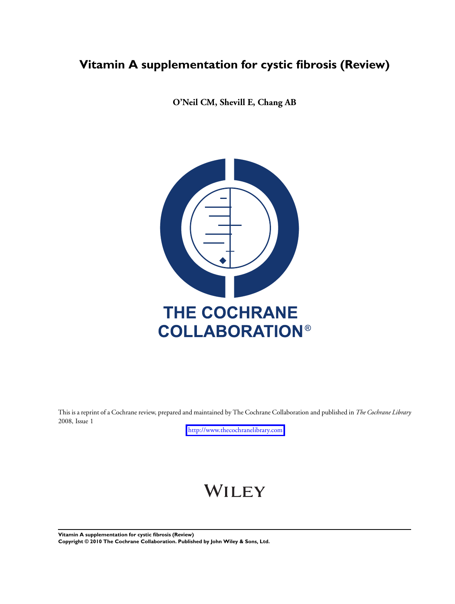## **Vitamin A supplementation for cystic fibrosis (Review)**

**O'Neil CM, Shevill E, Chang AB**



This is a reprint of a Cochrane review, prepared and maintained by The Cochrane Collaboration and published in *The Cochrane Library* 2008, Issue 1

<http://www.thecochranelibrary.com>

# WILEY

**Vitamin A supplementation for cystic fibrosis (Review) Copyright © 2010 The Cochrane Collaboration. Published by John Wiley & Sons, Ltd.**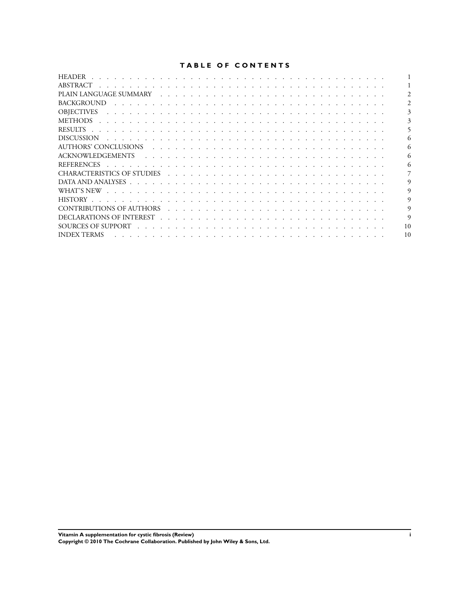## **TABLE OF CONTENTS**

| <b>HEADER</b>                                                                                                                           |    |
|-----------------------------------------------------------------------------------------------------------------------------------------|----|
| ABSTRACT<br>a constitution of the constitution of the constitution of the constitution of the constitution of the constitution          |    |
| PLAIN LANGUAGE SUMMARY IIII and IIII and IIII and III and III and III and III and III and III and III and III                           |    |
| <b>BACKGROUND</b>                                                                                                                       |    |
| <b>OBJECTIVES</b><br>a construction of the construction of the construction of the construction of the construction of the construction |    |
| METHODS                                                                                                                                 |    |
| <b>RESULTS</b>                                                                                                                          |    |
| <b>DISCUSSION</b><br>a construction of the construction of the construction of the construction of the construction of the construction |    |
| AUTHORS' CONCLUSIONS                                                                                                                    |    |
| ACKNOWLEDGEMENTS                                                                                                                        |    |
| <b>REFERENCES</b><br>and a company of the company of the company of the company of the company of the company of the company of the     |    |
|                                                                                                                                         |    |
|                                                                                                                                         |    |
|                                                                                                                                         |    |
| HISTORY.<br>a construction of the construction of the construction of the construction of the construction of the construction          |    |
| <b>CONTRIBUTIONS OF AUTHORS</b>                                                                                                         |    |
|                                                                                                                                         |    |
| SOURCES OF SUPPORT<br>the contract of the contract of the contract of the contract of the contract of the contract of the contract of   | 10 |
| <b>INDEX TERMS</b>                                                                                                                      | 10 |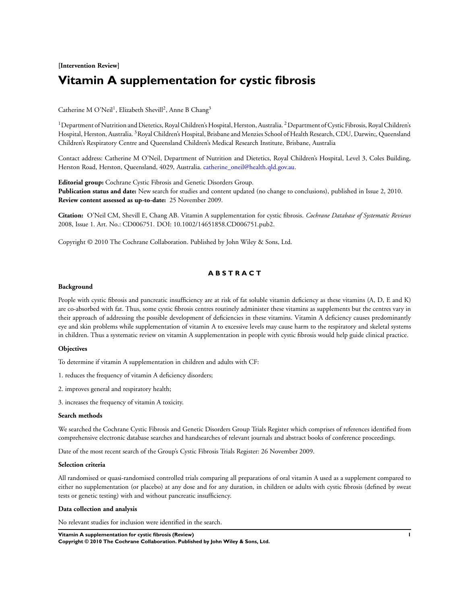**[Intervention Review]**

## **Vitamin A supplementation for cystic fibrosis**

Catherine M O'Neil<sup>1</sup>, Elizabeth Shevill<sup>2</sup>, Anne B Chang<sup>3</sup>

<sup>1</sup> Department of Nutrition and Dietetics, Royal Children's Hospital, Herston, Australia. <sup>2</sup> Department of Cystic Fibrosis, Royal Children's Hospital, Herston, Australia. <sup>3</sup>Royal Children's Hospital, Brisbane and Menzies School of Health Research, CDU, Darwin;, Queensland Children's Respiratory Centre and Queensland Children's Medical Research Institute, Brisbane, Australia

Contact address: Catherine M O'Neil, Department of Nutrition and Dietetics, Royal Children's Hospital, Level 3, Coles Building, Herston Road, Herston, Queensland, 4029, Australia. [catherine\\_oneil@health.qld.gov.au.](mailto:catherinechar "A8penalty z@ oneil@health.qld.gov.au)

**Editorial group:** Cochrane Cystic Fibrosis and Genetic Disorders Group. **Publication status and date:** New search for studies and content updated (no change to conclusions), published in Issue 2, 2010. **Review content assessed as up-to-date:** 25 November 2009.

**Citation:** O'Neil CM, Shevill E, Chang AB. Vitamin A supplementation for cystic fibrosis. *Cochrane Database of Systematic Reviews* 2008, Issue 1. Art. No.: CD006751. DOI: 10.1002/14651858.CD006751.pub2.

Copyright © 2010 The Cochrane Collaboration. Published by John Wiley & Sons, Ltd.

#### **A B S T R A C T**

#### **Background**

People with cystic fibrosis and pancreatic insufficiency are at risk of fat soluble vitamin deficiency as these vitamins (A, D, E and K) are co-absorbed with fat. Thus, some cystic fibrosis centres routinely administer these vitamins as supplements but the centres vary in their approach of addressing the possible development of deficiencies in these vitamins. Vitamin A deficiency causes predominantly eye and skin problems while supplementation of vitamin A to excessive levels may cause harm to the respiratory and skeletal systems in children. Thus a systematic review on vitamin A supplementation in people with cystic fibrosis would help guide clinical practice.

#### **Objectives**

To determine if vitamin A supplementation in children and adults with CF:

- 1. reduces the frequency of vitamin A deficiency disorders;
- 2. improves general and respiratory health;

3. increases the frequency of vitamin A toxicity.

#### **Search methods**

We searched the Cochrane Cystic Fibrosis and Genetic Disorders Group Trials Register which comprises of references identified from comprehensive electronic database searches and handsearches of relevant journals and abstract books of conference proceedings.

Date of the most recent search of the Group's Cystic Fibrosis Trials Register: 26 November 2009.

#### **Selection criteria**

All randomised or quasi-randomised controlled trials comparing all preparations of oral vitamin A used as a supplement compared to either no supplementation (or placebo) at any dose and for any duration, in children or adults with cystic fibrosis (defined by sweat tests or genetic testing) with and without pancreatic insufficiency.

#### **Data collection and analysis**

No relevant studies for inclusion were identified in the search.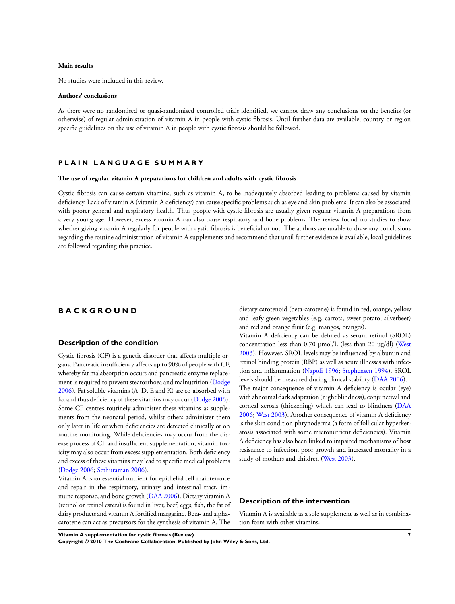#### **Main results**

No studies were included in this review.

#### **Authors' conclusions**

As there were no randomised or quasi-randomised controlled trials identified, we cannot draw any conclusions on the benefits (or otherwise) of regular administration of vitamin A in people with cystic fibrosis. Until further data are available, country or region specific guidelines on the use of vitamin A in people with cystic fibrosis should be followed.

#### **P L A I N L A N G U A G E S U M M A R Y**

#### **The use of regular vitamin A preparations for children and adults with cystic fibrosis**

Cystic fibrosis can cause certain vitamins, such as vitamin A, to be inadequately absorbed leading to problems caused by vitamin deficiency. Lack of vitamin A (vitamin A deficiency) can cause specific problems such as eye and skin problems. It can also be associated with poorer general and respiratory health. Thus people with cystic fibrosis are usually given regular vitamin A preparations from a very young age. However, excess vitamin A can also cause respiratory and bone problems. The review found no studies to show whether giving vitamin A regularly for people with cystic fibrosis is beneficial or not. The authors are unable to draw any conclusions regarding the routine administration of vitamin A supplements and recommend that until further evidence is available, local guidelines are followed regarding this practice.

#### **B A C K G R O U N D**

#### **Description of the condition**

Cystic fibrosis (CF) is a genetic disorder that affects multiple organs. Pancreatic insufficiency affects up to 90% of people with CF, whereby fat malabsorption occurs and pancreatic enzyme replacement is required to prevent steatorrhoea and malnutrition ([Dodge](#page-7-0) [2006](#page-7-0)). Fat soluble vitamins (A, D, E and K) are co-absorbed with fat and thus deficiency of these vitamins may occur ([Dodge 2006](#page-7-0)). Some CF centres routinely administer these vitamins as supplements from the neonatal period, whilst others administer them only later in life or when deficiencies are detected clinically or on routine monitoring. While deficiencies may occur from the disease process of CF and insufficient supplementation, vitamin toxicity may also occur from excess supplementation. Both deficiency and excess of these vitamins may lead to specific medical problems [\(Dodge 2006;](#page-7-0) [Sethuraman 2006](#page-7-0)).

Vitamin A is an essential nutrient for epithelial cell maintenance and repair in the respiratory, urinary and intestinal tract, immune response, and bone growth [\(DAA 2006](#page-7-0)). Dietary vitamin A (retinol or retinol esters) is found in liver, beef, eggs, fish, the fat of dairy products and vitamin A fortified margarine. Beta- and alphacarotene can act as precursors for the synthesis of vitamin A. The

dietary carotenoid (beta-carotene) is found in red, orange, yellow and leafy green vegetables (e.g. carrots, sweet potato, silverbeet) and red and orange fruit (e.g. mangos, oranges).

Vitamin A deficiency can be defined as serum retinol (SROL) concentration less than 0.70 µmol/L (less than 20 µg/dl) [\(West](#page-7-0) [2003](#page-7-0)). However, SROL levels may be influenced by albumin and retinol binding protein (RBP) as well as acute illnesses with infection and inflammation ([Napoli 1996](#page-7-0); [Stephensen 1994](#page-7-0)). SROL levels should be measured during clinical stability ([DAA 2006](#page-7-0)). The major consequence of vitamin A deficiency is ocular (eye) with abnormal dark adaptation (night blindness), conjunctival and corneal xerosis (thickening) which can lead to blindness ([DAA](#page-7-0) [2006](#page-7-0); [West 2003](#page-7-0)). Another consequence of vitamin A deficiency is the skin condition phrynoderma (a form of follicular hyperkeratosis associated with some micronutrient deficiencies). Vitamin A deficiency has also been linked to impaired mechanisms of host resistance to infection, poor growth and increased mortality in a study of mothers and children ([West 2003](#page-7-0)).

### **Description of the intervention**

Vitamin A is available as a sole supplement as well as in combination form with other vitamins.

**Vitamin A supplementation for cystic fibrosis (Review) 2**

**Copyright © 2010 The Cochrane Collaboration. Published by John Wiley & Sons, Ltd.**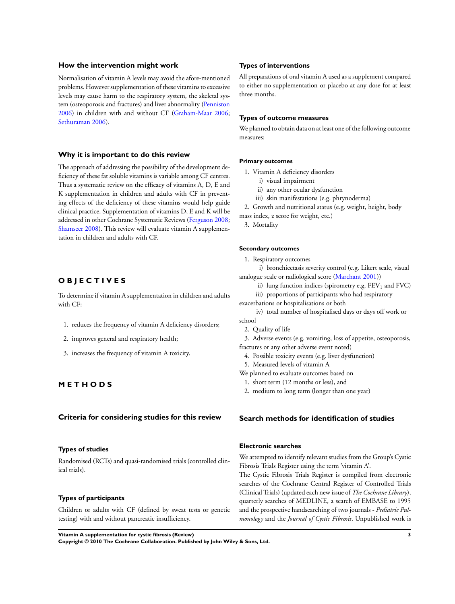#### **How the intervention might work**

Normalisation of vitamin A levels may avoid the afore-mentioned problems. However supplementation of these vitamins to excessive levels may cause harm to the respiratory system, the skeletal system (osteoporosis and fractures) and liver abnormality ([Penniston](#page-7-0) [2006](#page-7-0)) in children with and without CF ([Graham-Maar 2006;](#page-7-0) [Sethuraman 2006](#page-7-0)).

#### **Why it is important to do this review**

The approach of addressing the possibility of the development deficiency of these fat soluble vitamins is variable among CF centres. Thus a systematic review on the efficacy of vitamins A, D, E and K supplementation in children and adults with CF in preventing effects of the deficiency of these vitamins would help guide clinical practice. Supplementation of vitamins D, E and K will be addressed in other Cochrane Systematic Reviews [\(Ferguson 2008;](#page-7-0) [Shamseer 2008](#page-7-0)). This review will evaluate vitamin A supplementation in children and adults with CF.

## **O B J E C T I V E S**

To determine if vitamin A supplementation in children and adults with CF:

- 1. reduces the frequency of vitamin A deficiency disorders;
- 2. improves general and respiratory health;
- 3. increases the frequency of vitamin A toxicity.

### **M E T H O D S**

#### **Criteria for considering studies for this review**

#### **Types of studies**

Randomised (RCTs) and quasi-randomised trials (controlled clinical trials).

#### **Types of participants**

Children or adults with CF (defined by sweat tests or genetic testing) with and without pancreatic insufficiency.

**Types of interventions**

All preparations of oral vitamin A used as a supplement compared to either no supplementation or placebo at any dose for at least three months.

#### **Types of outcome measures**

We planned to obtain data on at least one of the following outcome measures:

#### **Primary outcomes**

- 1. Vitamin A deficiency disorders
	- i) visual impairment
	- ii) any other ocular dysfunction
	- iii) skin manifestations (e.g. phrynoderma)
- 2. Growth and nutritional status (e.g. weight, height, body
- mass index, z score for weight, etc.)
- 3. Mortality

#### **Secondary outcomes**

1. Respiratory outcomes

i) bronchiectasis severity control (e.g. Likert scale, visual analogue scale or radiological score ([Marchant 2001](#page-7-0)))

- ii) lung function indices (spirometry e.g.  $FEV<sub>1</sub>$  and  $FVC$ )
- iii) proportions of participants who had respiratory

exacerbations or hospitalisations or both

iv) total number of hospitalised days or days off work or school

2. Quality of life

3. Adverse events (e.g. vomiting, loss of appetite, osteoporosis, fractures or any other adverse event noted)

- 4. Possible toxicity events (e.g. liver dysfunction)
- 5. Measured levels of vitamin A
- We planned to evaluate outcomes based on
- 1. short term (12 months or less), and
- 2. medium to long term (longer than one year)

#### **Search methods for identification of studies**

#### **Electronic searches**

We attempted to identify relevant studies from the Group's Cystic Fibrosis Trials Register using the term 'vitamin A'.

The Cystic Fibrosis Trials Register is compiled from electronic searches of the Cochrane Central Register of Controlled Trials (Clinical Trials) (updated each new issue of *The Cochrane Library*), quarterly searches of MEDLINE, a search of EMBASE to 1995 and the prospective handsearching of two journals - *Pediatric Pulmonology* and the *Journal of Cystic Fibrosis*. Unpublished work is

**Vitamin A supplementation for cystic fibrosis (Review) 3**

**Copyright © 2010 The Cochrane Collaboration. Published by John Wiley & Sons, Ltd.**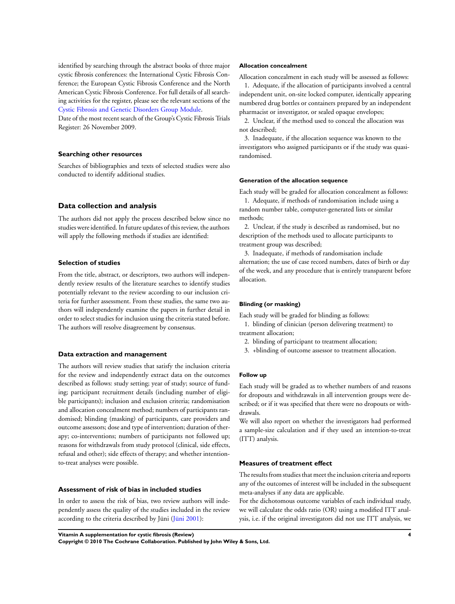identified by searching through the abstract books of three major cystic fibrosis conferences: the International Cystic Fibrosis Conference; the European Cystic Fibrosis Conference and the North American Cystic Fibrosis Conference. For full details of all searching activities for the register, please see the relevant sections of the [Cystic Fibrosis and Genetic Disorders Group Module](http://www.mrw.interscience.wiley.com/cochrane/cochranechar "A8penalty z@ clsysrevchar "A8penalty z@ crglistchar "A8penalty z@ fs.html).

Date of the most recent search of the Group's Cystic Fibrosis Trials Register: 26 November 2009.

#### **Searching other resources**

Searches of bibliographies and texts of selected studies were also conducted to identify additional studies.

#### **Data collection and analysis**

The authors did not apply the process described below since no studies were identified. In future updates of this review, the authors will apply the following methods if studies are identified:

#### **Selection of studies**

From the title, abstract, or descriptors, two authors will independently review results of the literature searches to identify studies potentially relevant to the review according to our inclusion criteria for further assessment. From these studies, the same two authors will independently examine the papers in further detail in order to select studies for inclusion using the criteria stated before. The authors will resolve disagreement by consensus.

#### **Data extraction and management**

The authors will review studies that satisfy the inclusion criteria for the review and independently extract data on the outcomes described as follows: study setting; year of study; source of funding; participant recruitment details (including number of eligible participants); inclusion and exclusion criteria; randomisation and allocation concealment method; numbers of participants randomised; blinding (masking) of participants, care providers and outcome assessors; dose and type of intervention; duration of therapy; co-interventions; numbers of participants not followed up; reasons for withdrawals from study protocol (clinical, side effects, refusal and other); side effects of therapy; and whether intentionto-treat analyses were possible.

### **Assessment of risk of bias in included studies**

In order to assess the risk of bias, two review authors will independently assess the quality of the studies included in the review according to the criteria described by Jüni ([Jüni 2001](#page-7-0)):

#### **Allocation concealment**

Allocation concealment in each study will be assessed as follows:

1. Adequate, if the allocation of participants involved a central independent unit, on-site locked computer, identically appearing numbered drug bottles or containers prepared by an independent pharmacist or investigator, or sealed opaque envelopes;

2. Unclear, if the method used to conceal the allocation was not described;

3. Inadequate, if the allocation sequence was known to the investigators who assigned participants or if the study was quasirandomised.

#### **Generation of the allocation sequence**

Each study will be graded for allocation concealment as follows: 1. Adequate, if methods of randomisation include using a

random number table, computer-generated lists or similar methods;

2. Unclear, if the study is described as randomised, but no description of the methods used to allocate participants to treatment group was described;

3. Inadequate, if methods of randomisation include alternation; the use of case record numbers, dates of birth or day of the week, and any procedure that is entirely transparent before allocation.

#### **Blinding (or masking)**

Each study will be graded for blinding as follows:

1. blinding of clinician (person delivering treatment) to treatment allocation;

2. blinding of participant to treatment allocation;

3. +blinding of outcome assessor to treatment allocation.

#### **Follow up**

Each study will be graded as to whether numbers of and reasons for dropouts and withdrawals in all intervention groups were described; or if it was specified that there were no dropouts or withdrawals.

We will also report on whether the investigators had performed a sample-size calculation and if they used an intention-to-treat (ITT) analysis.

#### **Measures of treatment effect**

The results from studies that meet the inclusion criteria and reports any of the outcomes of interest will be included in the subsequent meta-analyses if any data are applicable.

For the dichotomous outcome variables of each individual study, we will calculate the odds ratio (OR) using a modified ITT analysis, i.e. if the original investigators did not use ITT analysis, we

**Vitamin A supplementation for cystic fibrosis (Review) 4 Copyright © 2010 The Cochrane Collaboration. Published by John Wiley & Sons, Ltd.**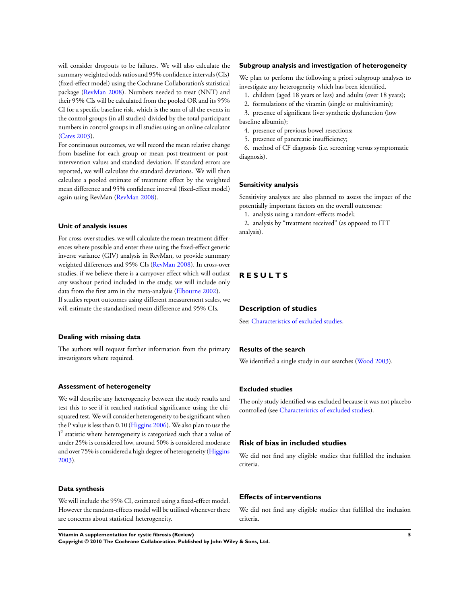will consider dropouts to be failures. We will also calculate the summary weighted odds ratios and 95% confidence intervals (CIs) (fixed-effect model) using the Cochrane Collaboration's statistical package [\(RevMan 2008\)](#page-7-0). Numbers needed to treat (NNT) and their 95% CIs will be calculated from the pooled OR and its 95% CI for a specific baseline risk, which is the sum of all the events in the control groups (in all studies) divided by the total participant numbers in control groups in all studies using an online calculator [\(Cates 2003](#page-7-0)).

For continuous outcomes, we will record the mean relative change from baseline for each group or mean post-treatment or postintervention values and standard deviation. If standard errors are reported, we will calculate the standard deviations. We will then calculate a pooled estimate of treatment effect by the weighted mean difference and 95% confidence interval (fixed-effect model) again using RevMan [\(RevMan 2008](#page-7-0)).

#### **Unit of analysis issues**

For cross-over studies, we will calculate the mean treatment differences where possible and enter these using the fixed-effect generic inverse variance (GIV) analysis in RevMan, to provide summary weighted differences and 95% CIs ([RevMan 2008\)](#page-7-0). In cross-over studies, if we believe there is a carryover effect which will outlast any washout period included in the study, we will include only data from the first arm in the meta-analysis ([Elbourne 2002](#page-7-0)). If studies report outcomes using different measurement scales, we will estimate the standardised mean difference and 95% CIs.

#### **Dealing with missing data**

The authors will request further information from the primary investigators where required.

#### **Assessment of heterogeneity**

We will describe any heterogeneity between the study results and test this to see if it reached statistical significance using the chisquared test. We will consider heterogeneity to be significant when the P value is less than 0.10 [\(Higgins 2006](#page-7-0)). We also plan to use the  $I^2$  statistic where heterogeneity is categorised such that a value of under 25% is considered low, around 50% is considered moderate and over 75% is considered a high degree of heterogeneity [\(Higgins](#page-7-0) [2003](#page-7-0)).

#### **Data synthesis**

We will include the 95% CI, estimated using a fixed-effect model. However the random-effects model will be utilised whenever there are concerns about statistical heterogeneity.

**Vitamin A supplementation for cystic fibrosis (Review) 5**

**Copyright © 2010 The Cochrane Collaboration. Published by John Wiley & Sons, Ltd.**

#### **Subgroup analysis and investigation of heterogeneity**

We plan to perform the following a priori subgroup analyses to investigate any heterogeneity which has been identified.

1. children (aged 18 years or less) and adults (over 18 years);

2. formulations of the vitamin (single or multivitamin);

3. presence of significant liver synthetic dysfunction (low baseline albumin);

4. presence of previous bowel resections;

5. presence of pancreatic insufficiency;

6. method of CF diagnosis (i.e. screening versus symptomatic diagnosis).

#### **Sensitivity analysis**

Sensitivity analyses are also planned to assess the impact of the potentially important factors on the overall outcomes:

1. analysis using a random-effects model;

2. analysis by "treatment received" (as opposed to ITT analysis).

## **R E S U L T S**

#### **Description of studies**

See: [Characteristics of excluded studies.](#page-9-0)

#### **Results of the search**

We identified a single study in our searches ([Wood 2003](#page-7-0)).

#### **Excluded studies**

The only study identified was excluded because it was not placebo controlled (see [Characteristics of excluded studies\)](#page-9-0).

#### **Risk of bias in included studies**

We did not find any eligible studies that fulfilled the inclusion criteria.

#### **Effects of interventions**

We did not find any eligible studies that fulfilled the inclusion criteria.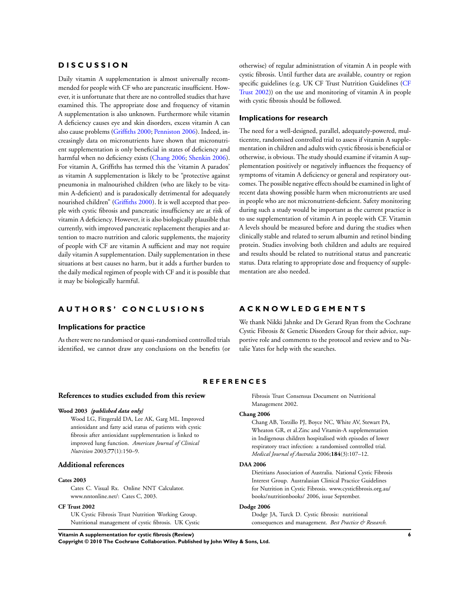## <span id="page-7-0"></span>**D I S C U S S I O N**

Daily vitamin A supplementation is almost universally recommended for people with CF who are pancreatic insufficient. However, it is unfortunate that there are no controlled studies that have examined this. The appropriate dose and frequency of vitamin A supplementation is also unknown. Furthermore while vitamin A deficiency causes eye and skin disorders, excess vitamin A can also cause problems (Griffiths 2000; Penniston 2006). Indeed, increasingly data on micronutrients have shown that micronutrient supplementation is only beneficial in states of deficiency and harmful when no deficiency exists (Chang 2006; Shenkin 2006). For vitamin A, Griffiths has termed this the 'vitamin A paradox' as vitamin A supplementation is likely to be "protective against pneumonia in malnourished children (who are likely to be vitamin A-deficient) and is paradoxically detrimental for adequately nourished children" (Griffiths 2000). It is well accepted that people with cystic fibrosis and pancreatic insufficiency are at risk of vitamin A deficiency. However, it is also biologically plausible that currently, with improved pancreatic replacement therapies and attention to macro nutrition and caloric supplements, the majority of people with CF are vitamin A sufficient and may not require daily vitamin A supplementation. Daily supplementation in these situations at best causes no harm, but it adds a further burden to the daily medical regimen of people with CF and it is possible that it may be biologically harmful.

otherwise) of regular administration of vitamin A in people with cystic fibrosis. Until further data are available, country or region specific guidelines (e.g. UK CF Trust Nutrition Guidelines (CF Trust 2002)) on the use and monitoring of vitamin A in people with cystic fibrosis should be followed.

#### **Implications for research**

The need for a well-designed, parallel, adequately-powered, multicentre, randomised controlled trial to assess if vitamin A supplementation in children and adults with cystic fibrosis is beneficial or otherwise, is obvious. The study should examine if vitamin A supplementation positively or negatively influences the frequency of symptoms of vitamin A deficiency or general and respiratory outcomes. The possible negative effects should be examined in light of recent data showing possible harm when micronutrients are used in people who are not micronutrient-deficient. Safety monitoring during such a study would be important as the current practice is to use supplementation of vitamin A in people with CF. Vitamin A levels should be measured before and during the studies when clinically stable and related to serum albumin and retinol binding protein. Studies involving both children and adults are required and results should be related to nutritional status and pancreatic status. Data relating to appropriate dose and frequency of supplementation are also needed.

## **A U T H O R S ' C O N C L U S I O N S**

#### **Implications for practice**

As there were no randomised or quasi-randomised controlled trials identified, we cannot draw any conclusions on the benefits (or

## **A C K N O W L E D G E M E N T S**

We thank Nikki Jahnke and Dr Gerard Ryan from the Cochrane Cystic Fibrosis & Genetic Disorders Group for their advice, supportive role and comments to the protocol and review and to Natalie Yates for help with the searches.

## **References to studies excluded from this review**

#### **Wood 2003** *{published data only}*

Wood LG, Fitzgerald DA, Lee AK, Garg ML. Improved antioxidant and fatty acid status of patients with cystic fibrosis after antioxidant supplementation is linked to improved lung function. *American Journal of Clinical Nutrition* 2003;**77**(1):150–9.

#### **Additional references**

#### **Cates 2003**

Cates C. Visual Rx. Online NNT Calculator. www.nntonline.net/: Cates C, 2003.

#### **CF Trust 2002**

UK Cystic Fibrosis Trust Nutrition Working Group. Nutritional management of cystic fibrosis. UK Cystic

## **R E F E R E N C E S**

Fibrosis Trust Consensus Document on Nutritional Management 2002.

#### **Chang 2006**

Chang AB, Torzillo PJ, Boyce NC, White AV, Stewart PA, Wheaton GR, et al.Zinc and Vitamin-A supplementation in Indigenous children hospitalised with episodes of lower respiratory tract infection: a randomised controlled trial. *Medical Journal of Australia* 2006;**184**(3):107–12.

#### **DAA 2006**

Dietitians Association of Australia. National Cystic Fibrosis Interest Group. Australasian Clinical Practice Guidelines for Nutrition in Cystic Fibrosis. www.cysticfibrosis.org.au/ books/nutritionbooks/ 2006, issue September.

## **Dodge 2006**

Dodge JA, Turck D. Cystic fibrosis: nutritional consequences and management. Best Practice & Research.

**Vitamin A supplementation for cystic fibrosis (Review) 6**

**Copyright © 2010 The Cochrane Collaboration. Published by John Wiley & Sons, Ltd.**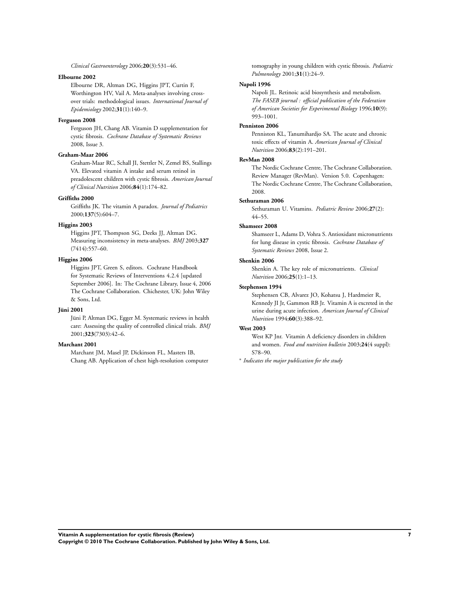*Clinical Gastroenterology* 2006;**20**(3):531–46.

#### **Elbourne 2002**

Elbourne DR, Altman DG, Higgins JPT, Curtin F, Worthington HV, Vail A. Meta-analyses involving crossover trials: methodological issues. *International Journal of Epidemiology* 2002;**31**(1):140–9.

#### **Ferguson 2008**

Ferguson JH, Chang AB. Vitamin D supplementation for cystic fibrosis. *Cochrane Database of Systematic Reviews* 2008, Issue 3.

#### **Graham-Maar 2006**

Graham-Maar RC, Schall JI, Stettler N, Zemel BS, Stallings VA. Elevated vitamin A intake and serum retinol in preadolescent children with cystic fibrosis. *American Journal of Clinical Nutrition* 2006;**84**(1):174–82.

#### **Griffiths 2000**

Griffiths JK. The vitamin A paradox. *Journal of Pediatrics* 2000;**137**(5):604–7.

#### **Higgins 2003**

Higgins JPT, Thompson SG, Deeks JJ, Altman DG. Measuring inconsistency in meta-analyses. *BMJ* 2003;**327** (7414):557–60.

#### **Higgins 2006**

Higgins JPT, Green S, editors. Cochrane Handbook for Systematic Reviews of Interventions 4.2.4 [updated September 2006]. In: The Cochrane Library, Issue 4, 2006 The Cochrane Collaboration. Chichester, UK: John Wiley & Sons, Ltd.

#### **Jüni 2001**

Jüni P, Altman DG, Egger M. Systematic reviews in health care: Assessing the quality of controlled clinical trials. *BMJ* 2001;**323**(7303):42–6.

#### **Marchant 2001**

Marchant JM, Masel JP, Dickinson FL, Masters IB, Chang AB. Application of chest high-resolution computer tomography in young children with cystic fibrosis. *Pediatric Pulmonology* 2001;**31**(1):24–9.

#### **Napoli 1996**

Napoli JL. Retinoic acid biosynthesis and metabolism. *The FASEB journal : official publication of the Federation of American Societies for Experimental Biology* 1996;**10**(9): 993–1001.

#### **Penniston 2006**

Penniston KL, Tanumihardjo SA. The acute and chronic toxic effects of vitamin A. *American Journal of Clinical Nutrition* 2006;**83**(2):191–201.

#### **RevMan 2008**

The Nordic Cochrane Centre, The Cochrane Collaboration. Review Manager (RevMan). Version 5.0. Copenhagen: The Nordic Cochrane Centre, The Cochrane Collaboration, 2008.

#### **Sethuraman 2006**

Sethuraman U. Vitamins. *Pediatric Review* 2006;**27**(2): 44–55.

#### **Shamseer 2008**

Shamseer L, Adams D, Vohra S. Antioxidant micronutrients for lung disease in cystic fibrosis. *Cochrane Database of Systematic Reviews* 2008, Issue 2.

#### **Shenkin 2006**

Shenkin A. The key role of micronutrients. *Clinical Nutrition* 2006;**25**(1):1–13.

#### **Stephensen 1994**

Stephensen CB, Alvarez JO, Kohatsu J, Hardmeier R, Kennedy JI Jr, Gammon RB Jr. Vitamin A is excreted in the urine during acute infection. *American Journal of Clinical Nutrition* 1994;**60**(3):388–92.

#### **West 2003**

West KP Jnr. Vitamin A deficiency disorders in children and women. *Food and nutrition bulletin* 2003;**24**(4 suppl): S78–90.

∗ *Indicates the major publication for the study*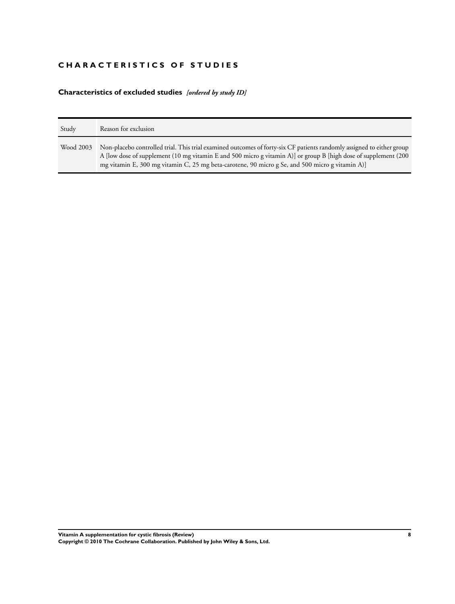## <span id="page-9-0"></span>**CHARACTERISTICS OF STUDIES**

## **Characteristics of excluded studies** *[ordered by study ID]*

| Study     | Reason for exclusion                                                                                                                                                                                                                                                                                                                       |
|-----------|--------------------------------------------------------------------------------------------------------------------------------------------------------------------------------------------------------------------------------------------------------------------------------------------------------------------------------------------|
| Wood 2003 | Non-placebo controlled trial. This trial examined outcomes of forty-six CF patients randomly assigned to either group<br>A [low dose of supplement (10 mg vitamin E and 500 micro g vitamin A)] or group B [high dose of supplement (200<br>mg vitamin E, 300 mg vitamin C, 25 mg beta-carotene, 90 micro g Se, and 500 micro g vitamin A) |

**Vitamin A supplementation for cystic fibrosis (Review) 8 Copyright © 2010 The Cochrane Collaboration. Published by John Wiley & Sons, Ltd.**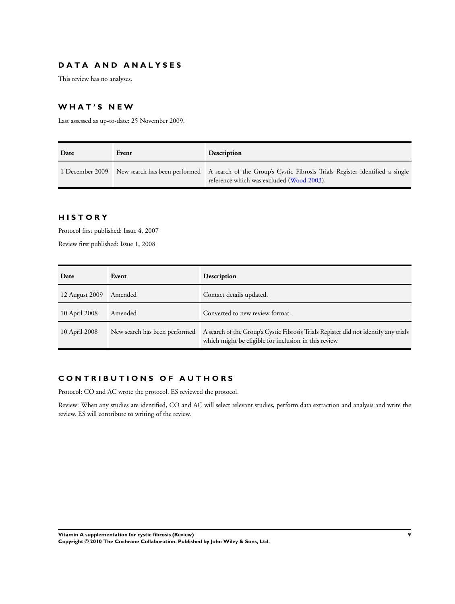## **D A T A A N D A N A L Y S E S**

This review has no analyses.

## **W H A T ' S N E W**

Last assessed as up-to-date: 25 November 2009.

| Date | Event | Description                                                                                                                                                            |
|------|-------|------------------------------------------------------------------------------------------------------------------------------------------------------------------------|
|      |       | 1 December 2009 New search has been performed A search of the Group's Cystic Fibrosis Trials Register identified a single<br>reference which was excluded (Wood 2003). |

## **H I S T O R Y**

Protocol first published: Issue 4, 2007

Review first published: Issue 1, 2008

| Date           | Event                         | Description                                                                                                                                 |
|----------------|-------------------------------|---------------------------------------------------------------------------------------------------------------------------------------------|
| 12 August 2009 | Amended                       | Contact details updated.                                                                                                                    |
| 10 April 2008  | Amended                       | Converted to new review format.                                                                                                             |
| 10 April 2008  | New search has been performed | A search of the Group's Cystic Fibrosis Trials Register did not identify any trials<br>which might be eligible for inclusion in this review |

## **C O N T R I B U T I O N S O F A U T H O R S**

Protocol: CO and AC wrote the protocol. ES reviewed the protocol.

Review: When any studies are identified, CO and AC will select relevant studies, perform data extraction and analysis and write the review. ES will contribute to writing of the review.